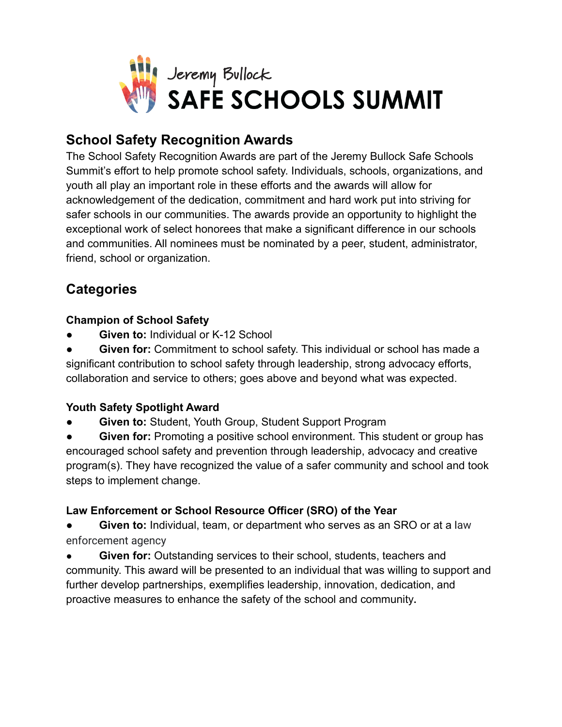

## **School Safety Recognition Awards**

The School Safety Recognition Awards are part of the Jeremy Bullock Safe Schools Summit's effort to help promote school safety. Individuals, schools, organizations, and youth all play an important role in these efforts and the awards will allow for acknowledgement of the dedication, commitment and hard work put into striving for safer schools in our communities. The awards provide an opportunity to highlight the exceptional work of select honorees that make a significant difference in our schools and communities. All nominees must be nominated by a peer, student, administrator, friend, school or organization.

# **Categories**

#### **Champion of School Safety**

**Given to: Individual or K-12 School** 

**Given for:** Commitment to school safety. This individual or school has made a significant contribution to school safety through leadership, strong advocacy efforts, collaboration and service to others; goes above and beyond what was expected.

### **Youth Safety Spotlight Award**

**Given to: Student, Youth Group, Student Support Program** 

**Given for:** Promoting a positive school environment. This student or group has encouraged school safety and prevention through leadership, advocacy and creative program(s). They have recognized the value of a safer community and school and took steps to implement change.

### **Law Enforcement or School Resource Officer (SRO) of the Year**

**Given to:** Individual, team, or department who serves as an SRO or at a law enforcement agency

**Given for:** Outstanding services to their school, students, teachers and community. This award will be presented to an individual that was willing to support and further develop partnerships, exemplifies leadership, innovation, dedication, and proactive measures to enhance the safety of the school and community**.**